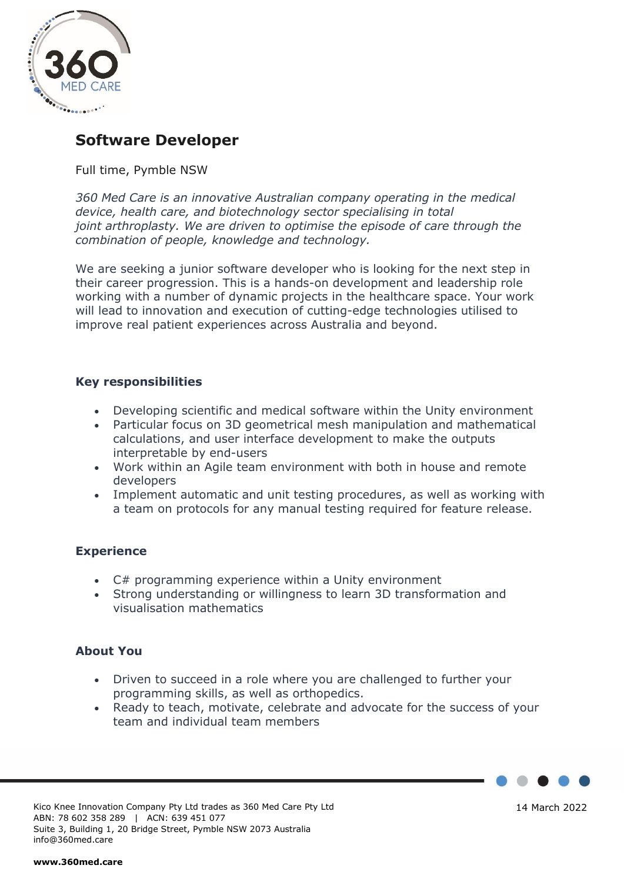

# **Software Developer**

# Full time, Pymble NSW

*360 Med Care is an innovative Australian company operating in the medical device, health care, and biotechnology sector specialising in total joint arthroplasty. We are driven to optimise the episode of care through the combination of people, knowledge and technology.*

We are seeking a junior software developer who is looking for the next step in their career progression. This is a hands-on development and leadership role working with a number of dynamic projects in the healthcare space. Your work will lead to innovation and execution of cutting-edge technologies utilised to improve real patient experiences across Australia and beyond.

# **Key responsibilities**

- Developing scientific and medical software within the Unity environment
- Particular focus on 3D geometrical mesh manipulation and mathematical calculations, and user interface development to make the outputs interpretable by end-users
- Work within an Agile team environment with both in house and remote developers
- Implement automatic and unit testing procedures, as well as working with a team on protocols for any manual testing required for feature release.

### **Experience**

- C# programming experience within a Unity environment
- Strong understanding or willingness to learn 3D transformation and visualisation mathematics

### **About You**

- Driven to succeed in a role where you are challenged to further your programming skills, as well as orthopedics.
- Ready to teach, motivate, celebrate and advocate for the success of your team and individual team members